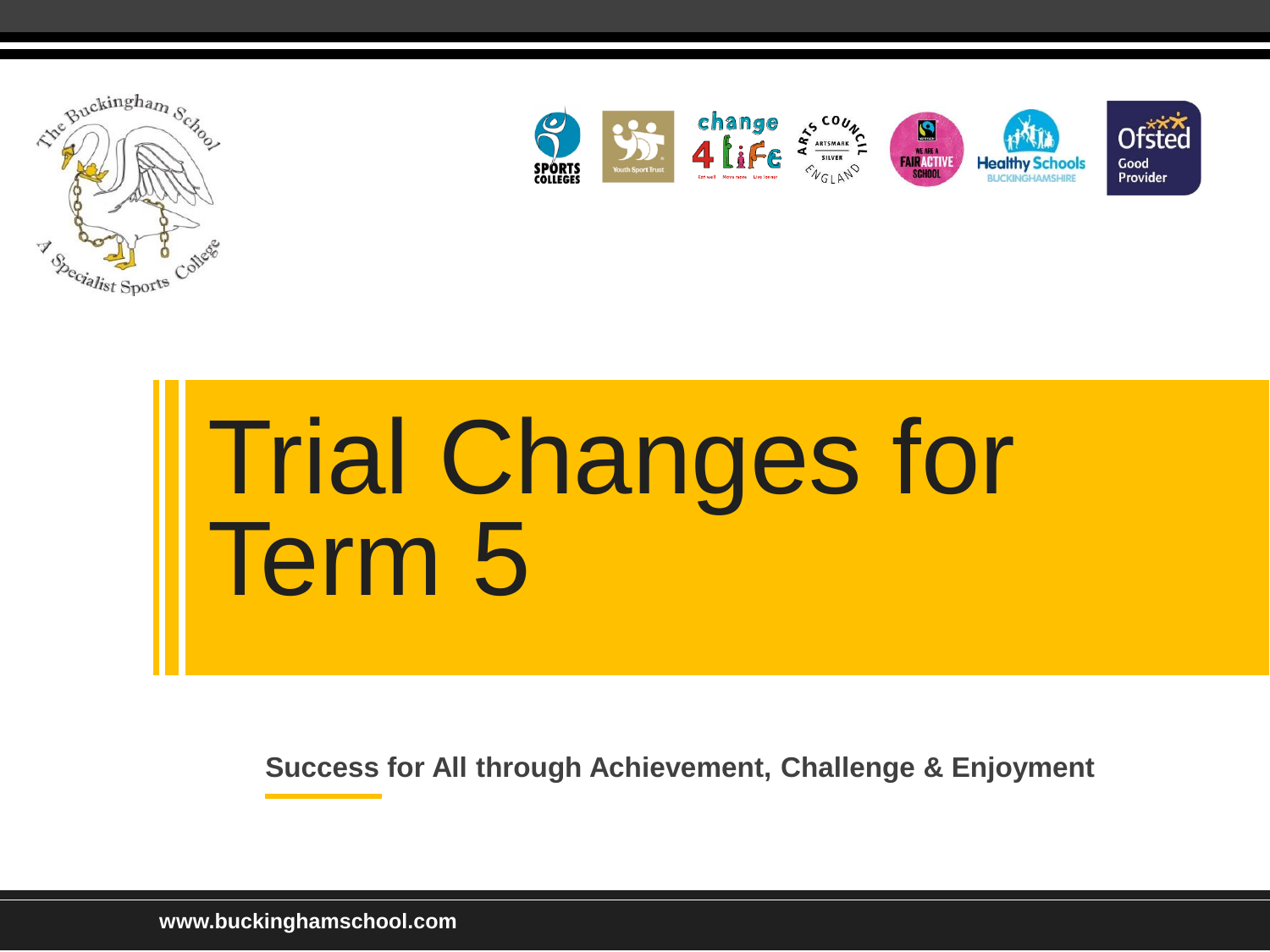



# Trial Changes for Term 5

**Success for All through Achievement, Challenge & Enjoyment** 

**www.buckinghamschool.com**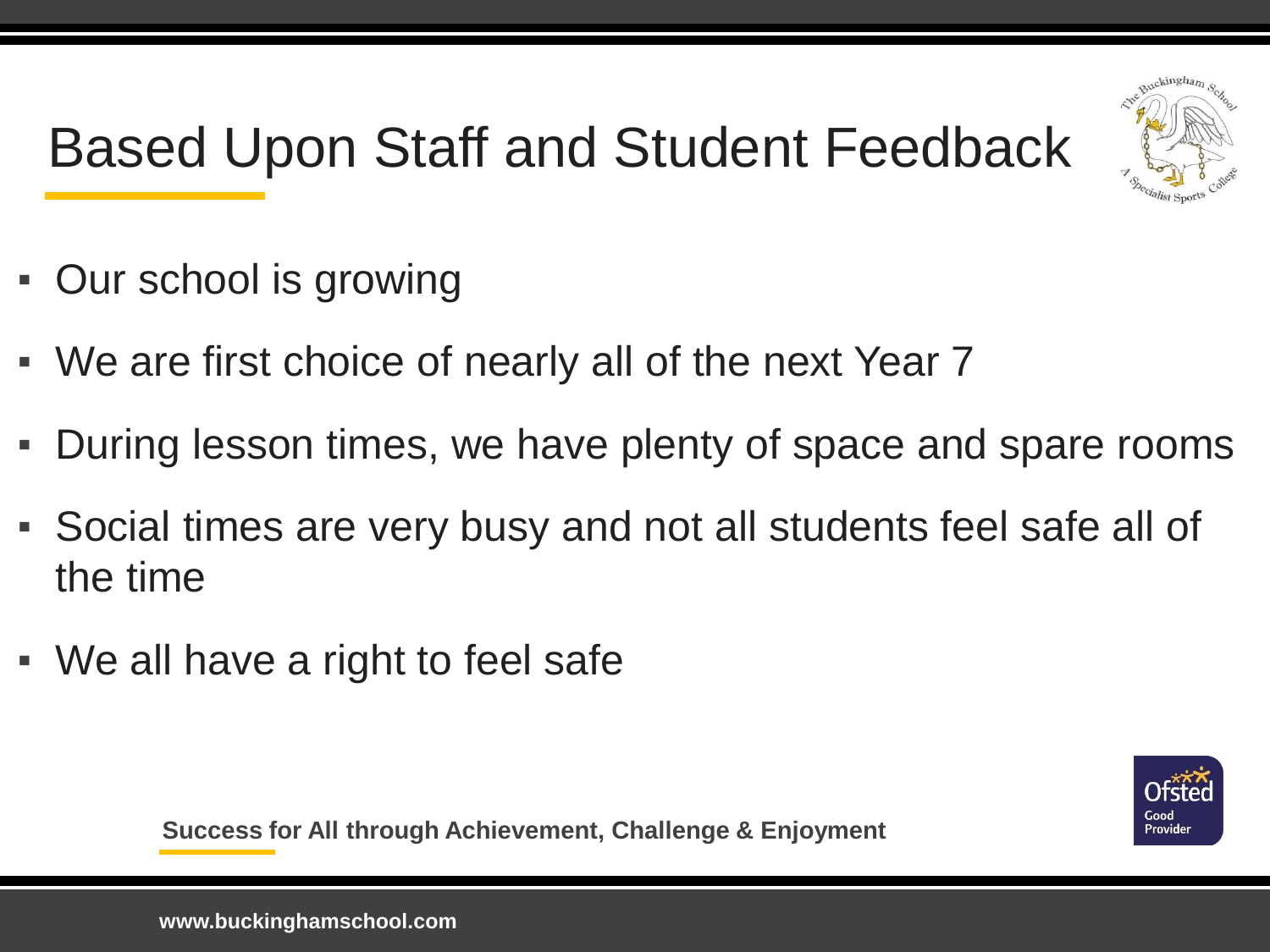

## Based Upon Staff and Student Feedback

- Our school is growing
- We are first choice of nearly all of the next Year 7
- During lesson times, we have plenty of space and spare rooms
- Social times are very busy and not all students feel safe all of the time
- We all have a right to feel safe

Good Provider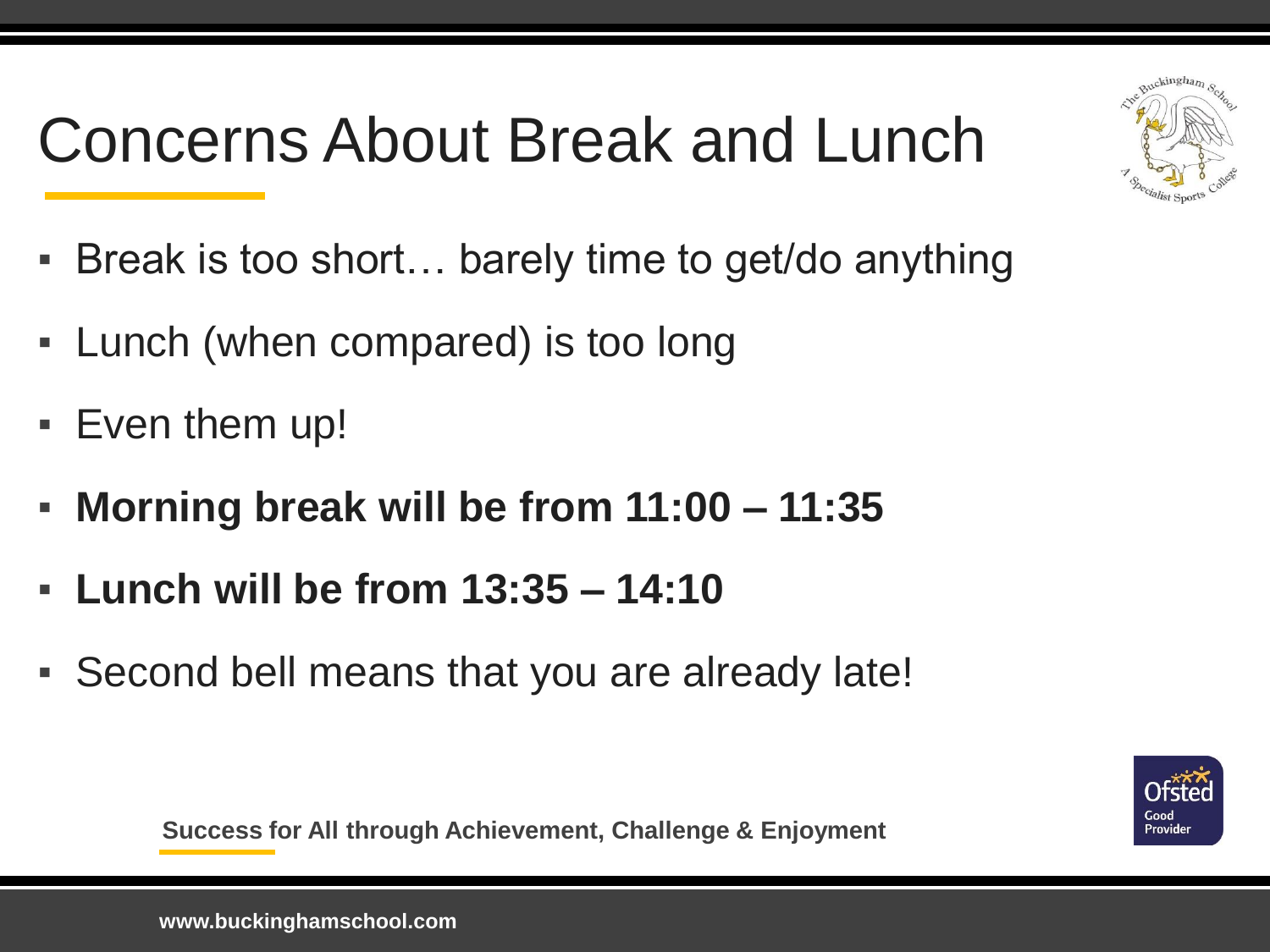## Concerns About Break and Lunch



- Break is too short… barely time to get/do anything
- Lunch (when compared) is too long
- Even them up!
- **Morning break will be from 11:00 – 11:35**
- **Lunch will be from 13:35 – 14:10**
- Second bell means that you are already late!

Good Provider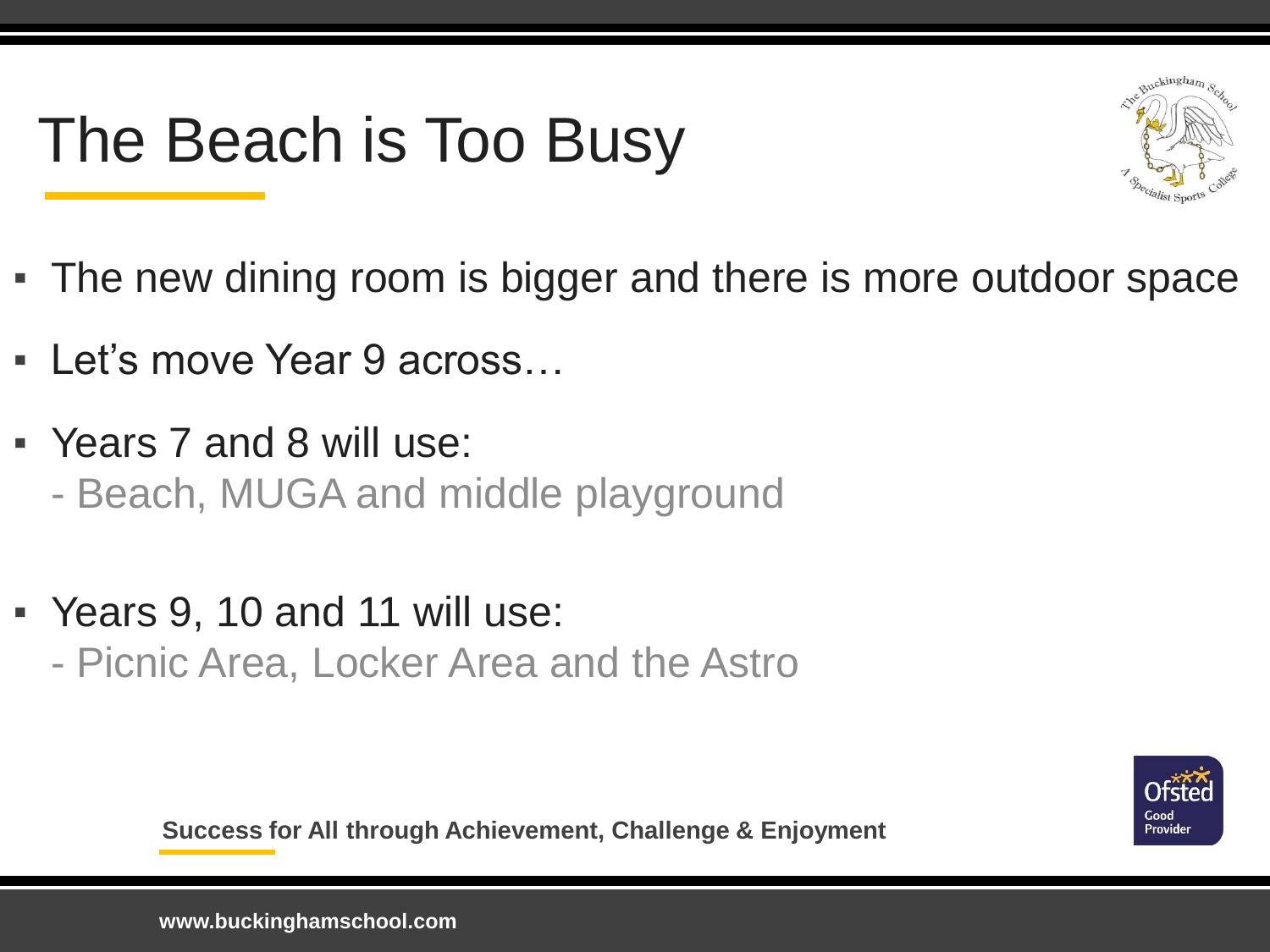## The Beach is Too Busy



- The new dining room is bigger and there is more outdoor space
- Let's move Year 9 across…
- Years 7 and 8 will use: - Beach, MUGA and middle playground
- Years 9, 10 and 11 will use: - Picnic Area, Locker Area and the Astro

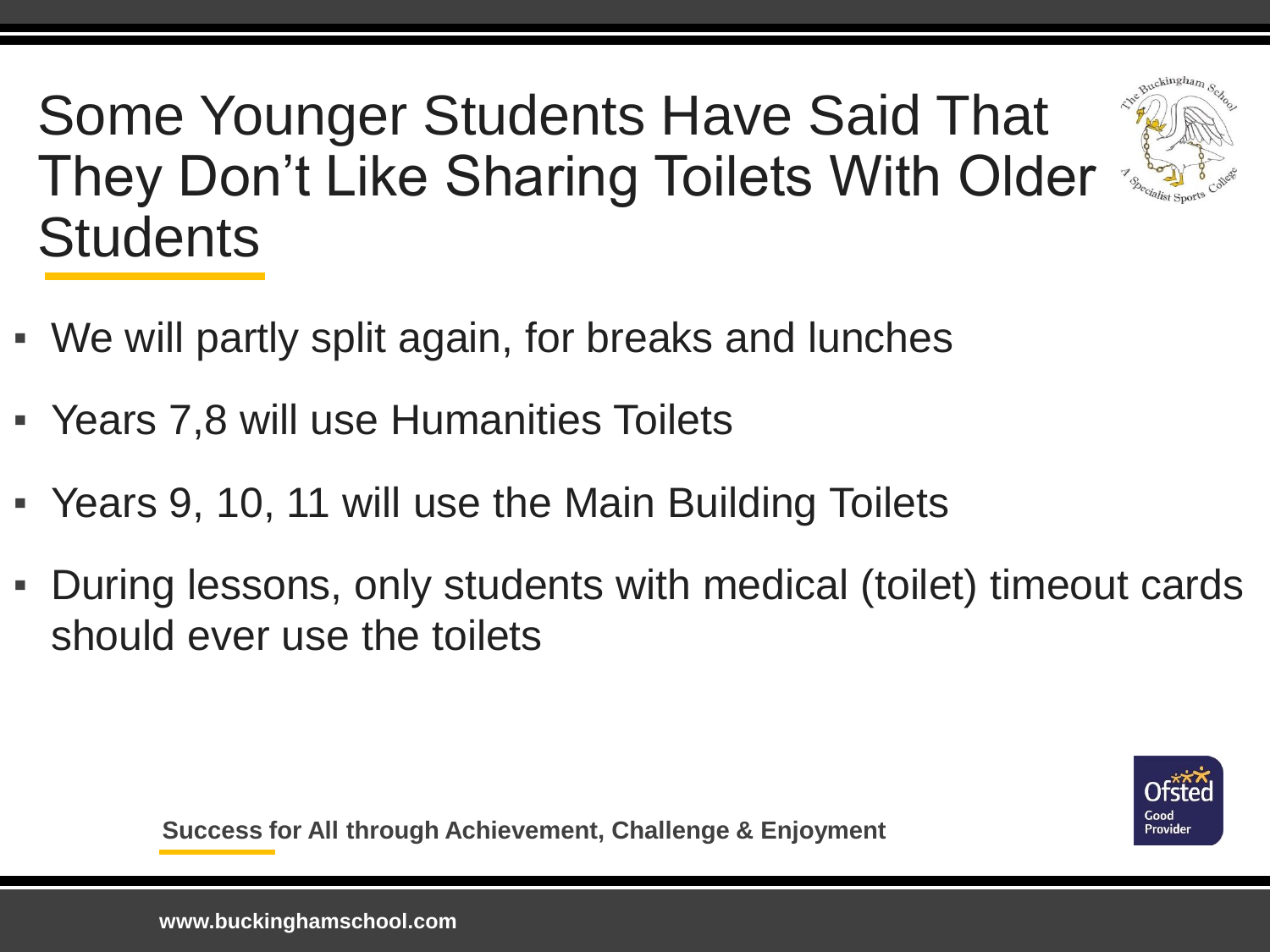Some Younger Students Have Said That They Don't Like Sharing Toilets With Older **Students** 



- Years 7,8 will use Humanities Toilets
- Years 9, 10, 11 will use the Main Building Toilets
- During lessons, only students with medical (toilet) timeout cards should ever use the toilets

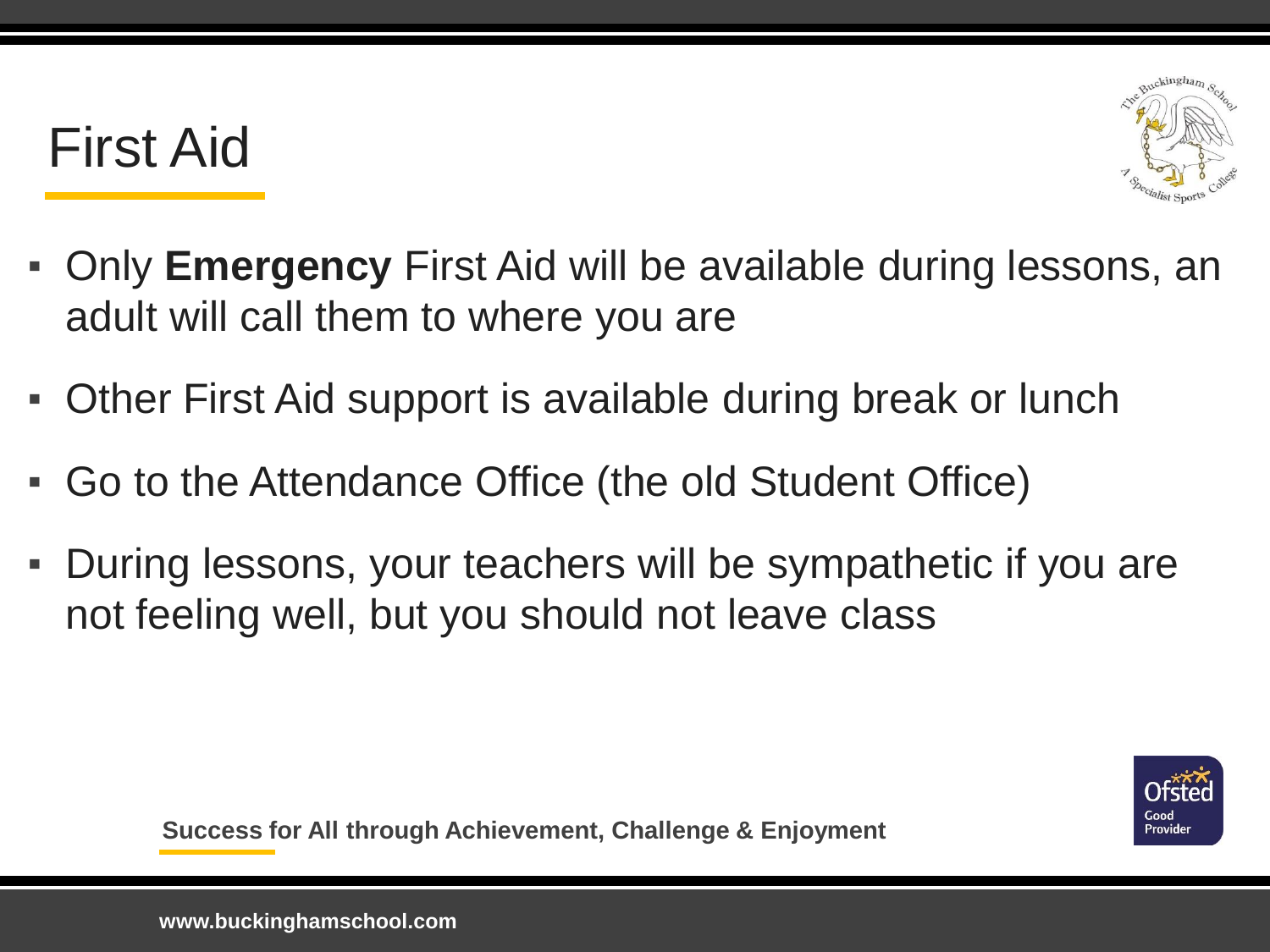#### First Aid



- Only **Emergency** First Aid will be available during lessons, an adult will call them to where you are
- Other First Aid support is available during break or lunch
- Go to the Attendance Office (the old Student Office)
- During lessons, your teachers will be sympathetic if you are not feeling well, but you should not leave class

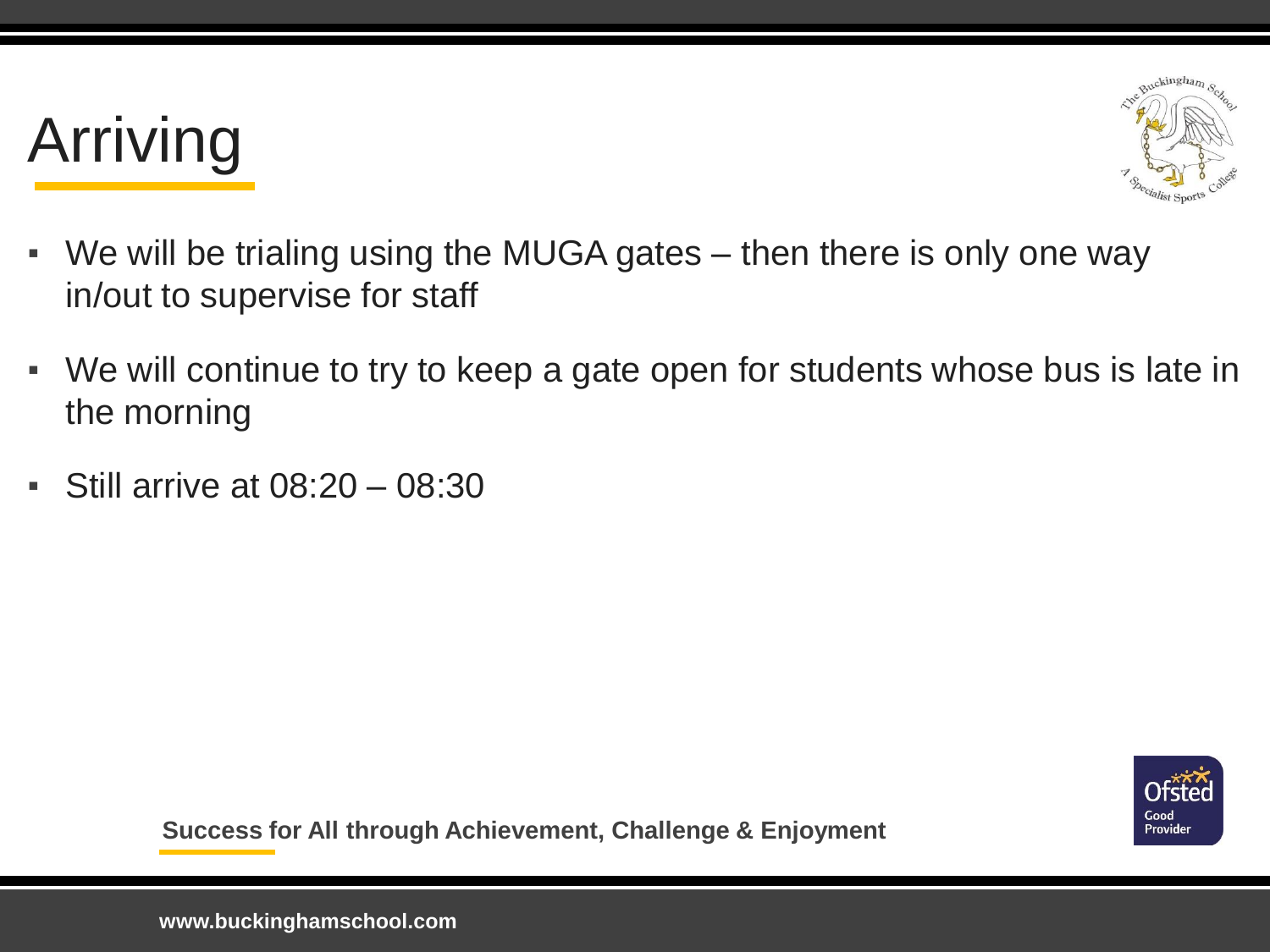# Arriving



- We will be trialing using the MUGA gates then there is only one way in/out to supervise for staff
- We will continue to try to keep a gate open for students whose bus is late in the morning
- **Still arrive at 08:20 08:30**

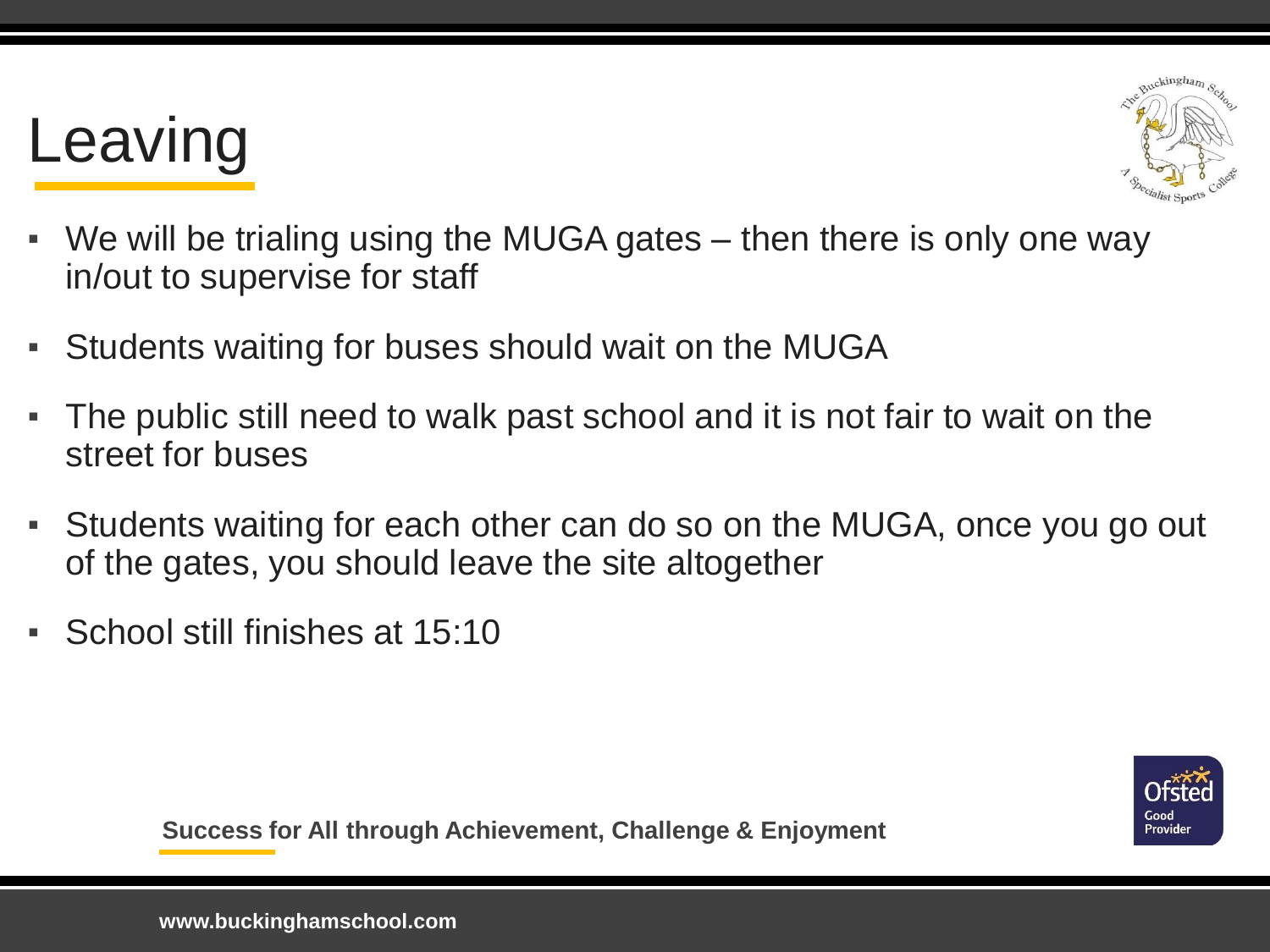## Leaving



- We will be trialing using the MUGA gates then there is only one way in/out to supervise for staff
- Students waiting for buses should wait on the MUGA
- The public still need to walk past school and it is not fair to wait on the street for buses
- Students waiting for each other can do so on the MUGA, once you go out of the gates, you should leave the site altogether
- School still finishes at 15:10

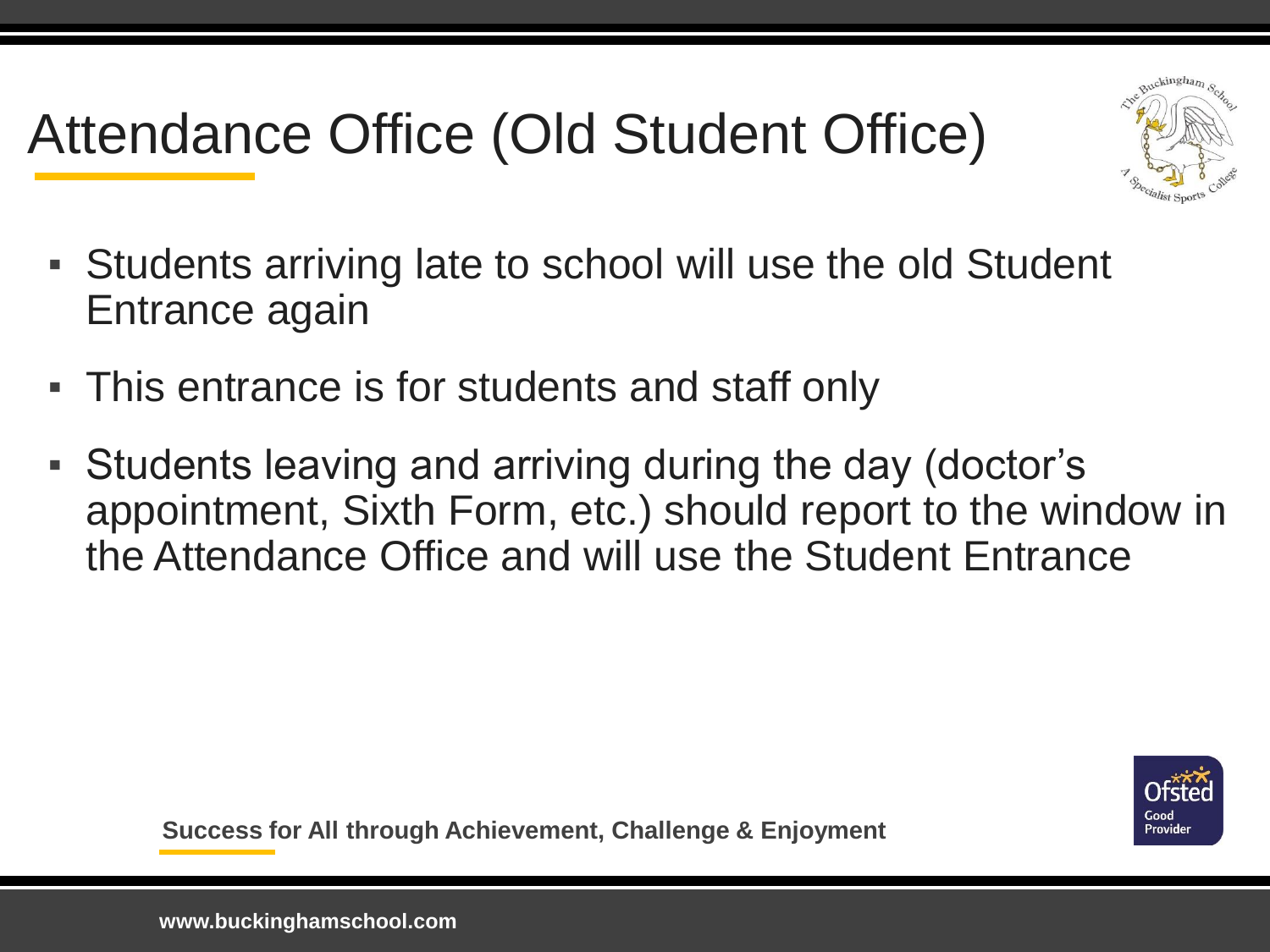### Attendance Office (Old Student Office)



- Students arriving late to school will use the old Student Entrance again
- This entrance is for students and staff only
- Students leaving and arriving during the day (doctor's appointment, Sixth Form, etc.) should report to the window in the Attendance Office and will use the Student Entrance